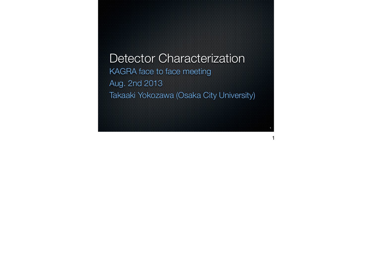Detector Characterization KAGRA face to face meeting Aug. 2nd 2013 Takaaki Yokozawa (Osaka City University)

**1**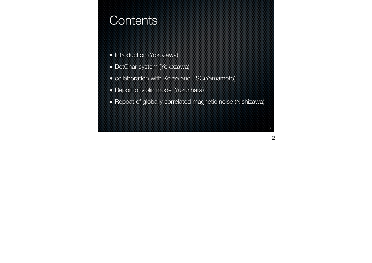### **Contents**

- **\*** Introduction (Yokozawa)
- DetChar system (Yokozawa)
- collaboration with Korea and LSC(Yamamoto)
- Report of violin mode (Yuzurihara)
- Repoat of globally correlated magnetic noise (Nishizawa)

**2**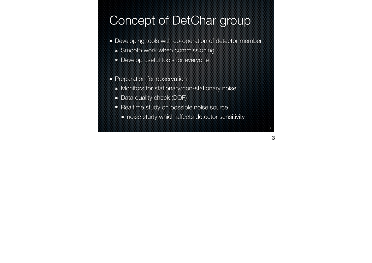# Concept of DetChar group

- **Developing tools with co-operation of detector member** 
	- **Smooth work when commissioning**
	- **Develop useful tools for everyone**
- **Preparation for observation** 
	- **Monitors for stationary/non-stationary noise**
	- Data quality check (DQF)
	- **\*** Realtime study on possible noise source
		- **noise study which affects detector sensitivity**

**3**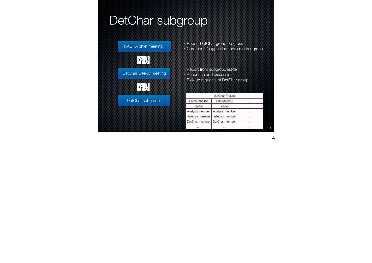## DetChar subgroup



・Report DetChar group progress ・Comments/suggestion to/from other group

・Report from subgroup leader ・Announce and discussion

・Pick up requests of DetChar group

| <b>DetChar Project</b> |                 |          |  |
|------------------------|-----------------|----------|--|
| <b>Glitch Monitor</b>  | Line Monitor    |          |  |
| Leader                 | Leader          |          |  |
| Analysis member        | Analysis member |          |  |
| Detector member        | Detector member |          |  |
| DetChar member         | DetChar member  | $\cdots$ |  |
|                        |                 |          |  |
|                        |                 |          |  |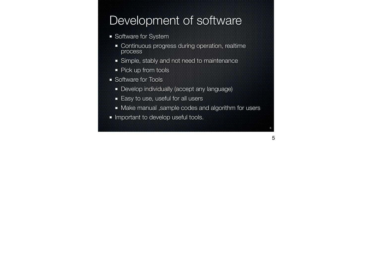### Development of software

- **Software for System** 
	- **\*** Continuous progress during operation, realtime process
	- **Simple, stably and not need to maintenance**
	- **Pick up from tools**
- **Software for Tools** 
	- **B** Develop individually (accept any language)
	- $\overline{\phantom{a}}$  Easy to use, useful for all users
	- **\*** Make manual ,sample codes and algorithm for users

**5**

5

**Important to develop useful tools.**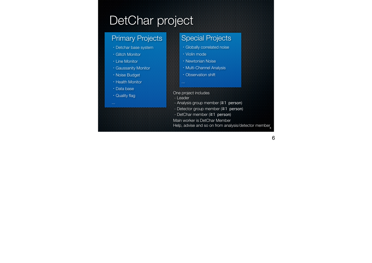# DetChar project

#### Primary Projects

- ・Detchar base system
- ・Glitch Monitor
- ・Line Monitor
- ・Gaussanity Monitor
- ・Noise Budget
- ・Health Monitor
- ・Data base
- ・Quality flag

### Special Projects

- ・Globally correlated noise
- ・Violin mode
- ・Newtonian Noise
- ・Multi-Channel Analysis
- ・Observation shift
- One project includes
- Leader

...

- Analysis group member (≧1 person)
- Detector group member (≧1 person)
- DetChar member (≧1 person)
- Main worker is DetChar Member
- Help, advise and so on from analysis/detector member**<sup>6</sup>**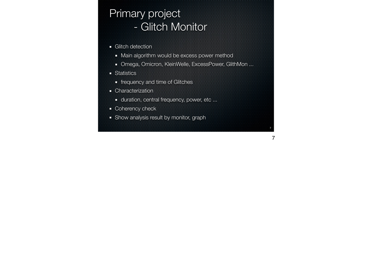### Primary project - Glitch Monitor

- Glitch detection
	- **Main algorithm would be excess power method**
	- Omega, Omicron, KleinWelle, ExcessPower, GlithMon ...

**7**

- **\*** Statistics
	- **\*** frequency and time of Glitches
- **\*** Characterization
	- **\*** duration, central frequency, power, etc ...
- **EXECO** Coherency check
- **Show analysis result by monitor, graph**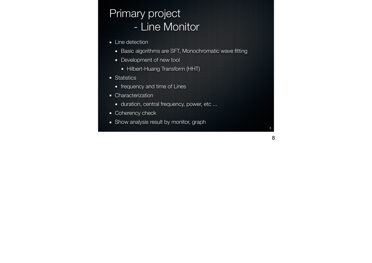## Primary project - Line Monitor

- **Exercise Line detection** 
	- **Basic algorithms are SFT, Monochromatic wave fitting**
	- **Development of new tool** 
		- **Hilbert-Huang Transform (HHT)**
- **\*** Statistics
	- **\*** frequency and time of Lines
- **\*** Characterization
	- **\*** duration, central frequency, power, etc ...
- **\*** Coherency check
- **Show analysis result by monitor, graph**

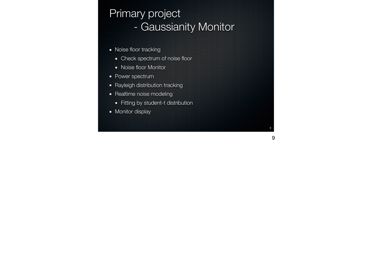### Primary project - Gaussianity Monitor

**9**

- **Noise floor tracking** 
	- **EXEC** Spectrum of noise floor
	- **Noise floor Monitor**
- **Power spectrum**
- **Rayleigh distribution tracking**
- Realtime noise modeling
	- Fitting by student-t distribution
- **\*** Monitor display